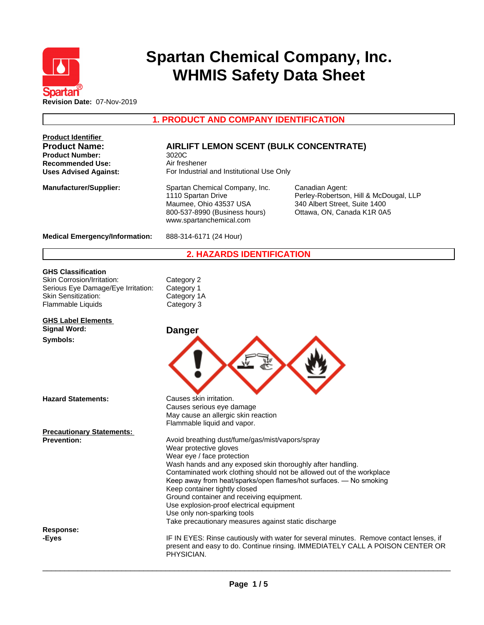

# **Spartan Chemical Company, Inc. WHMIS Safety Data Sheet**

**1. PRODUCT AND COMPANY IDENTIFICATION**

| <b>Product Identifier</b><br><b>Product Name:</b><br><b>Product Number:</b><br><b>Recommended Use:</b>              | <b>AIRLIFT LEMON SCENT (BULK CONCENTRATE)</b><br>3020C<br>Air freshener                                                                                                                                                                                                                                                                                                                                                                                                                                                              |                                                                                                                                                                         |
|---------------------------------------------------------------------------------------------------------------------|--------------------------------------------------------------------------------------------------------------------------------------------------------------------------------------------------------------------------------------------------------------------------------------------------------------------------------------------------------------------------------------------------------------------------------------------------------------------------------------------------------------------------------------|-------------------------------------------------------------------------------------------------------------------------------------------------------------------------|
| <b>Uses Advised Against:</b>                                                                                        | For Industrial and Institutional Use Only                                                                                                                                                                                                                                                                                                                                                                                                                                                                                            |                                                                                                                                                                         |
| <b>Manufacturer/Supplier:</b>                                                                                       | Spartan Chemical Company, Inc.<br>1110 Spartan Drive<br>Maumee, Ohio 43537 USA<br>800-537-8990 (Business hours)<br>www.spartanchemical.com                                                                                                                                                                                                                                                                                                                                                                                           | Canadian Agent:<br>Perley-Robertson, Hill & McDougal, LLP<br>340 Albert Street, Suite 1400<br>Ottawa, ON, Canada K1R 0A5                                                |
| <b>Medical Emergency/Information:</b>                                                                               | 888-314-6171 (24 Hour)                                                                                                                                                                                                                                                                                                                                                                                                                                                                                                               |                                                                                                                                                                         |
|                                                                                                                     | <b>2. HAZARDS IDENTIFICATION</b>                                                                                                                                                                                                                                                                                                                                                                                                                                                                                                     |                                                                                                                                                                         |
| <b>GHS Classification</b>                                                                                           |                                                                                                                                                                                                                                                                                                                                                                                                                                                                                                                                      |                                                                                                                                                                         |
| Skin Corrosion/Irritation:<br>Serious Eye Damage/Eye Irritation:<br><b>Skin Sensitization:</b><br>Flammable Liquids | Category 2<br>Category 1<br>Category 1A<br>Category 3                                                                                                                                                                                                                                                                                                                                                                                                                                                                                |                                                                                                                                                                         |
| <b>GHS Label Elements</b><br><b>Signal Word:</b>                                                                    | <b>Danger</b>                                                                                                                                                                                                                                                                                                                                                                                                                                                                                                                        |                                                                                                                                                                         |
| Symbols:                                                                                                            |                                                                                                                                                                                                                                                                                                                                                                                                                                                                                                                                      |                                                                                                                                                                         |
| <b>Hazard Statements:</b>                                                                                           | Causes skin irritation.<br>Causes serious eye damage<br>May cause an allergic skin reaction<br>Flammable liquid and vapor.                                                                                                                                                                                                                                                                                                                                                                                                           |                                                                                                                                                                         |
| <b>Precautionary Statements:</b>                                                                                    |                                                                                                                                                                                                                                                                                                                                                                                                                                                                                                                                      |                                                                                                                                                                         |
| <b>Prevention:</b>                                                                                                  | Avoid breathing dust/fume/gas/mist/vapors/spray<br>Wear protective gloves<br>Wear eye / face protection<br>Wash hands and any exposed skin thoroughly after handling.<br>Contaminated work clothing should not be allowed out of the workplace<br>Keep away from heat/sparks/open flames/hot surfaces. - No smoking<br>Keep container tightly closed<br>Ground container and receiving equipment.<br>Use explosion-proof electrical equipment<br>Use only non-sparking tools<br>Take precautionary measures against static discharge |                                                                                                                                                                         |
| Response:                                                                                                           |                                                                                                                                                                                                                                                                                                                                                                                                                                                                                                                                      |                                                                                                                                                                         |
| -Eyes                                                                                                               | PHYSICIAN.                                                                                                                                                                                                                                                                                                                                                                                                                                                                                                                           | IF IN EYES: Rinse cautiously with water for several minutes. Remove contact lenses, if<br>present and easy to do. Continue rinsing. IMMEDIATELY CALL A POISON CENTER OR |

 $\overline{\phantom{a}}$  ,  $\overline{\phantom{a}}$  ,  $\overline{\phantom{a}}$  ,  $\overline{\phantom{a}}$  ,  $\overline{\phantom{a}}$  ,  $\overline{\phantom{a}}$  ,  $\overline{\phantom{a}}$  ,  $\overline{\phantom{a}}$  ,  $\overline{\phantom{a}}$  ,  $\overline{\phantom{a}}$  ,  $\overline{\phantom{a}}$  ,  $\overline{\phantom{a}}$  ,  $\overline{\phantom{a}}$  ,  $\overline{\phantom{a}}$  ,  $\overline{\phantom{a}}$  ,  $\overline{\phantom{a}}$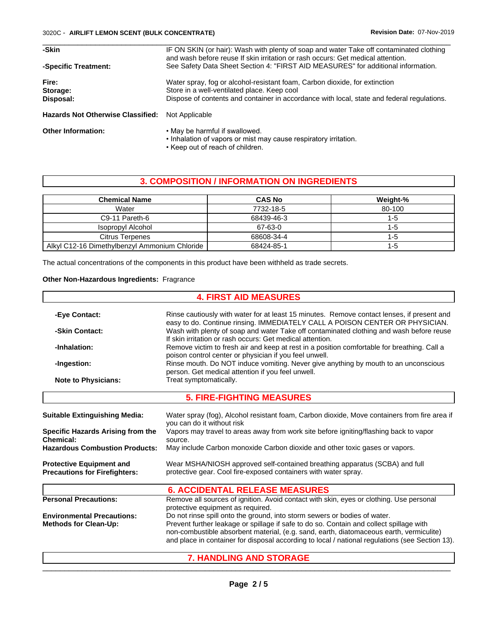| -Skin                                    | IF ON SKIN (or hair): Wash with plenty of soap and water Take off contaminated clothing<br>and wash before reuse If skin irritation or rash occurs: Get medical attention. |
|------------------------------------------|----------------------------------------------------------------------------------------------------------------------------------------------------------------------------|
| -Specific Treatment:                     | See Safety Data Sheet Section 4: "FIRST AID MEASURES" for additional information.                                                                                          |
| Fire:                                    | Water spray, fog or alcohol-resistant foam, Carbon dioxide, for extinction                                                                                                 |
| Storage:                                 | Store in a well-ventilated place. Keep cool                                                                                                                                |
| Disposal:                                | Dispose of contents and container in accordance with local, state and federal regulations.                                                                                 |
| <b>Hazards Not Otherwise Classified:</b> | Not Applicable                                                                                                                                                             |
| <b>Other Information:</b>                | . May be harmful if swallowed.<br>• Inhalation of vapors or mist may cause respiratory irritation.                                                                         |

• Keep out of reach of children.

# **3. COMPOSITION / INFORMATION ON INGREDIENTS**

| <b>Chemical Name</b>                          | <b>CAS No</b> | Weight-% |
|-----------------------------------------------|---------------|----------|
| Water                                         | 7732-18-5     | 80-100   |
| C9-11 Pareth-6                                | 68439-46-3    | -0       |
| Isopropyl Alcohol                             | 67-63-0       | -5       |
| Citrus Terpenes                               | 68608-34-4    | -0       |
| Alkyl C12-16 Dimethylbenzyl Ammonium Chloride | 68424-85-1    | 1-5      |

The actual concentrations of the components in this product have been withheld as trade secrets.

## **Other Non-Hazardous Ingredients:** Fragrance

|                                          | <b>4. FIRST AID MEASURES</b>                                                                    |
|------------------------------------------|-------------------------------------------------------------------------------------------------|
| -Eye Contact:                            | Rinse cautiously with water for at least 15 minutes. Remove contact lenses, if present and      |
|                                          | easy to do. Continue rinsing. IMMEDIATELY CALL A POISON CENTER OR PHYSICIAN.                    |
| -Skin Contact:                           | Wash with plenty of soap and water Take off contaminated clothing and wash before reuse         |
|                                          | If skin irritation or rash occurs: Get medical attention.                                       |
| -Inhalation:                             | Remove victim to fresh air and keep at rest in a position comfortable for breathing. Call a     |
|                                          | poison control center or physician if you feel unwell.                                          |
| -Ingestion:                              | Rinse mouth. Do NOT induce vomiting. Never give anything by mouth to an unconscious             |
|                                          | person. Get medical attention if you feel unwell.                                               |
| <b>Note to Physicians:</b>               | Treat symptomatically.                                                                          |
|                                          | <b>5. FIRE-FIGHTING MEASURES</b>                                                                |
| <b>Suitable Extinguishing Media:</b>     | Water spray (fog), Alcohol resistant foam, Carbon dioxide, Move containers from fire area if    |
|                                          | you can do it without risk                                                                      |
| <b>Specific Hazards Arising from the</b> | Vapors may travel to areas away from work site before igniting/flashing back to vapor           |
| Chemical:                                | source.                                                                                         |
| <b>Hazardous Combustion Products:</b>    | May include Carbon monoxide Carbon dioxide and other toxic gases or vapors.                     |
| <b>Protective Equipment and</b>          | Wear MSHA/NIOSH approved self-contained breathing apparatus (SCBA) and full                     |
| <b>Precautions for Firefighters:</b>     | protective gear. Cool fire-exposed containers with water spray.                                 |
|                                          | <b>6. ACCIDENTAL RELEASE MEASURES</b>                                                           |
| <b>Personal Precautions:</b>             | Remove all sources of ignition. Avoid contact with skin, eyes or clothing. Use personal         |
|                                          | protective equipment as required.                                                               |
| <b>Environmental Precautions:</b>        | Do not rinse spill onto the ground, into storm sewers or bodies of water.                       |
| <b>Methods for Clean-Up:</b>             | Prevent further leakage or spillage if safe to do so. Contain and collect spillage with         |
|                                          | non-combustible absorbent material, (e.g. sand, earth, diatomaceous earth, vermiculite)         |
|                                          | and place in container for disposal according to local / national regulations (see Section 13). |
|                                          | <b>7. HANDLING AND STORAGE</b>                                                                  |

 $\overline{\phantom{a}}$  , and the set of the set of the set of the set of the set of the set of the set of the set of the set of the set of the set of the set of the set of the set of the set of the set of the set of the set of the s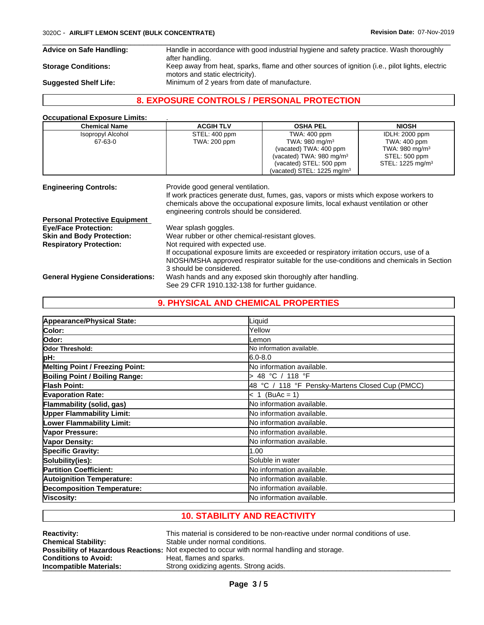#### 3020C - **AIRLIFT LEMON SCENT (BULK CONCENTRATE) Revision Date:** 07-Nov-2019

**Advice on Safe Handling:** Handle in accordance with good industrial hygiene and safety practice. Wash thoroughly after handling. **Storage Conditions:** Keep away from heat, sparks, flame and other sources of ignition (i.e., pilot lights, electric motors and static electricity). **Suggested Shelf Life:** Minimum of 2 years from date of manufacture.

> If occupational exposure limits are exceeded or respiratory irritation occurs, use of a NIOSH/MSHA approved respirator suitable for the use-conditions and chemicals in Section

 $\overline{\phantom{a}}$  ,  $\overline{\phantom{a}}$  ,  $\overline{\phantom{a}}$  ,  $\overline{\phantom{a}}$  ,  $\overline{\phantom{a}}$  ,  $\overline{\phantom{a}}$  ,  $\overline{\phantom{a}}$  ,  $\overline{\phantom{a}}$  ,  $\overline{\phantom{a}}$  ,  $\overline{\phantom{a}}$  ,  $\overline{\phantom{a}}$  ,  $\overline{\phantom{a}}$  ,  $\overline{\phantom{a}}$  ,  $\overline{\phantom{a}}$  ,  $\overline{\phantom{a}}$  ,  $\overline{\phantom{a}}$ 

# **8. EXPOSURE CONTROLS / PERSONAL PROTECTION**

## **Occupational Exposure Limits:** .

| <b>Chemical Name</b>                 | <b>ACGIH TLV</b>                                                                | <b>OSHA PEL</b>                                                                                                                                                              | <b>NIOSH</b>                 |
|--------------------------------------|---------------------------------------------------------------------------------|------------------------------------------------------------------------------------------------------------------------------------------------------------------------------|------------------------------|
| <b>Isopropyl Alcohol</b>             | STEL: 400 ppm                                                                   | TWA: 400 ppm                                                                                                                                                                 | <b>IDLH: 2000 ppm</b>        |
| 67-63-0                              | TWA: 200 ppm                                                                    | TWA: 980 mg/m $3$                                                                                                                                                            | <b>TWA: 400 ppm</b>          |
|                                      |                                                                                 | (vacated) TWA: 400 ppm                                                                                                                                                       | TWA: 980 mg/m $3$            |
|                                      |                                                                                 | (vacated) TWA: 980 mg/m <sup>3</sup>                                                                                                                                         | STEL: 500 ppm                |
|                                      |                                                                                 | (vacated) STEL: 500 ppm                                                                                                                                                      | STEL: 1225 mg/m <sup>3</sup> |
|                                      |                                                                                 | (vacated) STEL: 1225 mg/m <sup>3</sup>                                                                                                                                       |                              |
| <b>Engineering Controls:</b>         | Provide good general ventilation.<br>engineering controls should be considered. | If work practices generate dust, fumes, gas, vapors or mists which expose workers to<br>chemicals above the occupational exposure limits, local exhaust ventilation or other |                              |
| <b>Personal Protective Equipment</b> |                                                                                 |                                                                                                                                                                              |                              |
| <b>Eye/Face Protection:</b>          | Wear splash goggles.                                                            |                                                                                                                                                                              |                              |
| <b>Skin and Body Protection:</b>     | Wear rubber or other chemical-resistant gloves.                                 |                                                                                                                                                                              |                              |
| <b>Respiratory Protection:</b>       | Not required with expected use.                                                 |                                                                                                                                                                              |                              |

**General Hygiene Considerations:** Wash hands and any exposed skin thoroughly after handling.

## **9. PHYSICAL AND CHEMICAL PROPERTIES**

See 29 CFR 1910.132-138 for further guidance.

3 should be considered.

| Appearance/Physical State:            | Liquid                                          |
|---------------------------------------|-------------------------------------------------|
|                                       |                                                 |
| Color:                                | Yellow                                          |
| <b>Odor:</b>                          | _emon                                           |
| Odor Threshold:                       | No information available.                       |
| pH:                                   | $6.0 - 8.0$                                     |
| Melting Point / Freezing Point:       | lNo information available.                      |
| <b>Boiling Point / Boiling Range:</b> | 48 °C / 118 °F                                  |
| <b>Flash Point:</b>                   | 48 °C / 118 °F Pensky-Martens Closed Cup (PMCC) |
| <b>Evaporation Rate:</b>              | $< 1$ (BuAc = 1)                                |
| Flammability (solid, gas)             | lNo information available.                      |
| <b>Upper Flammability Limit:</b>      | lNo information available.                      |
| <b>Lower Flammability Limit:</b>      | No information available.                       |
| Vapor Pressure:                       | No information available.                       |
| Vapor Density:                        | No information available.                       |
| <b>Specific Gravity:</b>              | 1.00                                            |
| Solubility(ies):                      | Soluble in water                                |
| <b>Partition Coefficient:</b>         | lNo information available.                      |
| <b>Autoignition Temperature:</b>      | No information available.                       |
| <b>Decomposition Temperature:</b>     | No information available.                       |
| Viscosity:                            | lNo information available.                      |

# **10. STABILITY AND REACTIVITY**

| <b>Reactivity:</b>          | This material is considered to be non-reactive under normal conditions of use.                     |
|-----------------------------|----------------------------------------------------------------------------------------------------|
| <b>Chemical Stability:</b>  | Stable under normal conditions.                                                                    |
|                             | <b>Possibility of Hazardous Reactions:</b> Not expected to occur with normal handling and storage. |
| <b>Conditions to Avoid:</b> | Heat, flames and sparks.                                                                           |
| Incompatible Materials:     | Strong oxidizing agents. Strong acids.                                                             |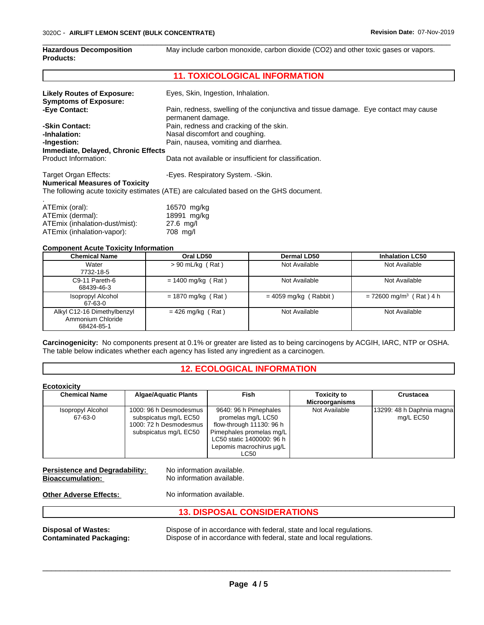| <b>Hazardous Decomposition</b><br><b>Products:</b>             | May include carbon monoxide, carbon dioxide (CO2) and other toxic gases or vapors.                       |  |  |
|----------------------------------------------------------------|----------------------------------------------------------------------------------------------------------|--|--|
|                                                                | <b>11. TOXICOLOGICAL INFORMATION</b>                                                                     |  |  |
| <b>Likely Routes of Exposure:</b>                              | Eyes, Skin, Ingestion, Inhalation.                                                                       |  |  |
| <b>Symptoms of Exposure:</b>                                   |                                                                                                          |  |  |
| -Eye Contact:                                                  | Pain, redness, swelling of the conjunctiva and tissue damage. Eye contact may cause<br>permanent damage. |  |  |
| -Skin Contact:                                                 | Pain, redness and cracking of the skin.                                                                  |  |  |
| -Inhalation:                                                   | Nasal discomfort and coughing.                                                                           |  |  |
| -Ingestion:                                                    | Pain, nausea, vomiting and diarrhea.                                                                     |  |  |
| Immediate, Delayed, Chronic Effects                            |                                                                                                          |  |  |
| Product Information:                                           | Data not available or insufficient for classification.                                                   |  |  |
| Target Organ Effects:<br><b>Numerical Measures of Toxicity</b> | -Eyes. Respiratory System. - Skin.                                                                       |  |  |
|                                                                | The following acute toxicity estimates (ATE) are calculated based on the GHS document.                   |  |  |
| ATEmix (oral):                                                 | 16570 mg/kg                                                                                              |  |  |

| ATEmix (oral):                 | 16570 mg/kg |
|--------------------------------|-------------|
| ATEmix (dermal):               | 18991 mg/kg |
| ATEmix (inhalation-dust/mist): | 27.6 ma/l   |
| ATEmix (inhalation-vapor):     | 708 mg/l    |

#### **Component Acute Toxicity Information**

| <b>Chemical Name</b>                                           | Oral LD50            | Dermal LD50             | <b>Inhalation LC50</b>                |
|----------------------------------------------------------------|----------------------|-------------------------|---------------------------------------|
| Water<br>7732-18-5                                             | $> 90$ mL/kg (Rat)   | Not Available           | Not Available                         |
| C9-11 Pareth-6<br>68439-46-3                                   | $= 1400$ mg/kg (Rat) | Not Available           | Not Available                         |
| Isopropyl Alcohol<br>67-63-0                                   | $= 1870$ mg/kg (Rat) | $= 4059$ mg/kg (Rabbit) | $= 72600$ mg/m <sup>3</sup> (Rat) 4 h |
| Alkyl C12-16 Dimethylbenzyl<br>Ammonium Chloride<br>68424-85-1 | $= 426$ mg/kg (Rat)  | Not Available           | Not Available                         |

**Carcinogenicity:** No components present at 0.1% or greater are listed as to being carcinogens by ACGIH, IARC, NTP or OSHA. The table below indicates whether each agency has listed any ingredient as a carcinogen.

# **12. ECOLOGICAL INFORMATION**

| <b>Ecotoxicity</b>           |                                                                                                    |                                                                                                                                                                      |                                             |                                        |
|------------------------------|----------------------------------------------------------------------------------------------------|----------------------------------------------------------------------------------------------------------------------------------------------------------------------|---------------------------------------------|----------------------------------------|
| <b>Chemical Name</b>         | <b>Algae/Aquatic Plants</b>                                                                        | Fish                                                                                                                                                                 | <b>Toxicity to</b><br><b>Microorganisms</b> | <b>Crustacea</b>                       |
| Isopropyl Alcohol<br>67-63-0 | 1000: 96 h Desmodesmus<br>subspicatus mg/L EC50<br>1000: 72 h Desmodesmus<br>subspicatus mg/L EC50 | 9640: 96 h Pimephales<br>promelas mg/L LC50<br>flow-through 11130: 96 h<br>Pimephales promelas mg/L<br>LC50 static 1400000: 96 h<br>Lepomis macrochirus ug/L<br>LC50 | Not Available                               | 13299: 48 h Daphnia magna<br>mg/L EC50 |

# **Persistence and Degradability:** No information available.<br> **Bioaccumulation:** No information available.

**No information available.** 

**Other Adverse Effects:** No information available.

| <b>13. DISPOSAL CONSIDERATIONS</b> |                                                                     |  |  |  |
|------------------------------------|---------------------------------------------------------------------|--|--|--|
| <b>Disposal of Wastes:</b>         | Dispose of in accordance with federal, state and local regulations. |  |  |  |
| <b>Contaminated Packaging:</b>     | Dispose of in accordance with federal, state and local regulations. |  |  |  |

 $\overline{\phantom{a}}$  ,  $\overline{\phantom{a}}$  ,  $\overline{\phantom{a}}$  ,  $\overline{\phantom{a}}$  ,  $\overline{\phantom{a}}$  ,  $\overline{\phantom{a}}$  ,  $\overline{\phantom{a}}$  ,  $\overline{\phantom{a}}$  ,  $\overline{\phantom{a}}$  ,  $\overline{\phantom{a}}$  ,  $\overline{\phantom{a}}$  ,  $\overline{\phantom{a}}$  ,  $\overline{\phantom{a}}$  ,  $\overline{\phantom{a}}$  ,  $\overline{\phantom{a}}$  ,  $\overline{\phantom{a}}$